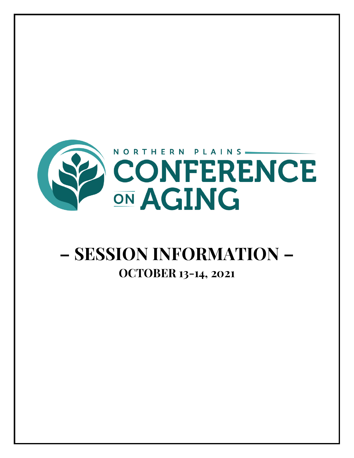

# **– SESSION INFORMATION – OCTOBER 13-14, 2021**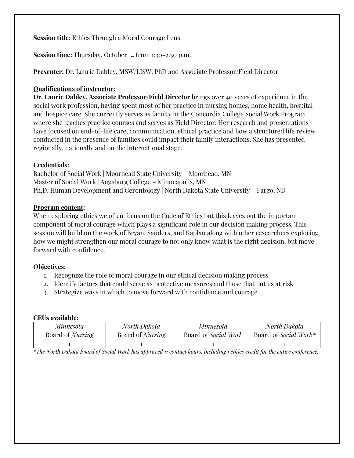**Session title:** Ethics Through a Moral Courage Lens

**Session time:** Thursday, October 14 from 1:30-2:30 p.m.

**Presenter:** Dr. Laurie Dahley, MSW/LISW, PhD and Associate Professor/Field Director

## **Qualifications of instructor:**

**Dr. Laurie Dahley, Associate Professor/Field Director** brings over 40 years of experience in the social work profession, having spent most of her practice in nursing homes, home health, hospital and hospice care. She currently serves as faculty in the Concordia College Social Work Program where she teaches practice courses and serves as Field Director. Her research and presentations have focused on end-of-life care, communication, ethical practice and how a structured life review conducted in the presence of families could impact their family interactions. She has presented regionally, nationally and on the international stage.

# **Credentials:**

Bachelor of Social Work | Moorhead State University – Moorhead, MN Master of Social Work | Augsburg College – Minneapolis, MN Ph.D. Human Development and Gerontology | North Dakota State University – Fargo, ND

## **Program content:**

When exploring ethics we often focus on the Code of Ethics but this leaves out the important component of moral courage which plays a significant role in our decision making process. This session will build on the work of Bryan, Sanders, and Kaplan along with other researchers exploring how we might strengthen our moral courage to not only know what is the right decision, but move forward with confidence.

# **Objectives:**

- 1. Recognize the role of moral courage in our ethical decision making process
- 2. Identify factors that could serve as protective measures and those that put us at risk
- 3. Strategize ways in which to move forward with confidence and courage

#### **CEUs available:**

| Minnesota               | North Dakota            | Minnesota                   | North Dakota          |
|-------------------------|-------------------------|-----------------------------|-----------------------|
| Board of <i>Nursing</i> | Board of <i>Nursing</i> | Board of <i>Social Work</i> | Board of Social Work* |
|                         |                         |                             |                       |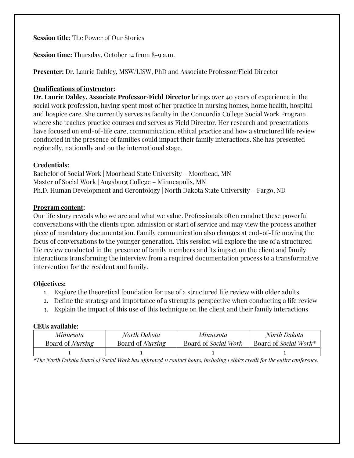**Session title:** The Power of Our Stories

**Session time:** Thursday, October 14 from 8-9 a.m.

**Presenter:** Dr. Laurie Dahley, MSW/LISW, PhD and Associate Professor/Field Director

## **Qualifications of instructor:**

**Dr. Laurie Dahley, Associate Professor/Field Director** brings over 40 years of experience in the social work profession, having spent most of her practice in nursing homes, home health, hospital and hospice care. She currently serves as faculty in the Concordia College Social Work Program where she teaches practice courses and serves as Field Director. Her research and presentations have focused on end-of-life care, communication, ethical practice and how a structured life review conducted in the presence of families could impact their family interactions. She has presented regionally, nationally and on the international stage.

# **Credentials:**

Bachelor of Social Work | Moorhead State University – Moorhead, MN Master of Social Work | Augsburg College – Minneapolis, MN Ph.D. Human Development and Gerontology | North Dakota State University – Fargo, ND

## **Program content:**

Our life story reveals who we are and what we value. Professionals often conduct these powerful conversations with the clients upon admission or start of service and may view the process another piece of mandatory documentation. Family communication also changes at end-of-life moving the focus of conversations to the younger generation. This session will explore the use of a structured life review conducted in the presence of family members and its impact on the client and family interactions transforming the interview from a required documentation process to a transformative intervention for the resident and family.

# **Objectives:**

- 1. Explore the theoretical foundation for use of a structured life review with older adults
- 2. Define the strategy and importance of a strengths perspective when conducting a life review
- 3. Explain the impact of this use of this technique on the client and their family interactions

#### **CEUs available:**

| Minnesota               | North Dakota            | Minnesota            | North Dakota          |
|-------------------------|-------------------------|----------------------|-----------------------|
| Board of <i>Nursing</i> | Board of <i>Nursing</i> | Board of Social Work | Board of Social Work* |
|                         |                         |                      |                       |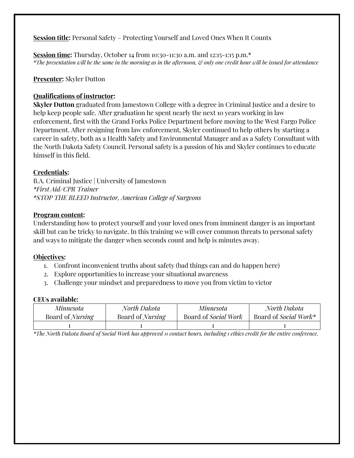**Session title:** Personal Safety – Protecting Yourself and Loved Ones When It Counts

**Session time:** Thursday, October 14 from 10:30-11:30 a.m. and 12:15-1:15 p.m.<sup>\*</sup> *\*The presentation will be the same in the morning as in the afternoon, & only one credit hour will be issued for attendance*

# **Presenter:** Skyler Dutton

# **Qualifications of instructor:**

**Skyler Dutton** graduated from Jamestown College with a degree in Criminal Justice and a desire to help keep people safe. After graduation he spent nearly the next 10 years working in law enforcement, first with the Grand Forks Police Department before moving to the West Fargo Police Department. After resigning from law enforcement, Skyler continued to help others by starting a career in safety, both as a Health Safety and Environmental Manager and as a Safety Consultant with the North Dakota Safety Council. Personal safety is a passion of his and Skyler continues to educate himself in this field.

# **Credentials:**

B.A. Criminal Justice | University of Jamestown *\*First Aid/CPR Trainer \*STOP THE BLEED Instructor, American College of Surgeons*

# **Program content:**

Understanding how to protect yourself and your loved ones from imminent danger is an important skill but can be tricky to navigate. In this training we will cover common threats to personal safety and ways to mitigate the danger when seconds count and help is minutes away.

# **Objectives:**

- 1. Confront inconvenient truths about safety (bad things can and do happen here)
- 2. Explore opportunities to increase your situational awareness
- 3. Challenge your mindset and preparedness to move you from victim to victor

# **CEUs available:**

| Minnesota               | North Dakota            | Minnesota            | North Dakota          |
|-------------------------|-------------------------|----------------------|-----------------------|
| Board of <i>Nursing</i> | Board of <i>Nursing</i> | Board of Social Work | Board of Social Work* |
|                         |                         |                      |                       |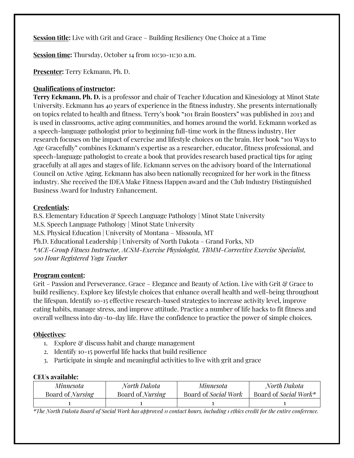**Session title:** Live with Grit and Grace – Building Resiliency One Choice at a Time

**Session time:** Thursday, October 14 from 10:30-11:30 a.m.

**Presenter:** Terry Eckmann, Ph. D.

# **Qualifications of instructor:**

**Terry Eckmann, Ph. D.** is a professor and chair of Teacher Education and Kinesiology at Minot State University. Eckmann has 40 years of experience in the fitness industry. She presents internationally on topics related to health and fitness. Terry's book "101 Brain Boosters" was published in 2013 and is used in classrooms, active aging communities, and homes around the world. Eckmann worked as a speech-language pathologist prior to beginning full-time work in the fitness industry. Her research focuses on the impact of exercise and lifestyle choices on the brain. Her book "101 Ways to Age Gracefully" combines Eckmann's expertise as a researcher, educator, fitness professional, and speech-language pathologist to create a book that provides research based practical tips for aging gracefully at all ages and stages of life. Eckmann serves on the advisory board of the International Council on Active Aging. Eckmann has also been nationally recognized for her work in the fitness industry. She received the IDEA Make Fitness Happen award and the Club Industry Distinguished Business Award for Industry Enhancement.

## **Credentials:**

B.S. Elementary Education & Speech Language Pathology | Minot State University M.S. Speech Language Pathology | Minot State University M.S. Physical Education | University of Montana – Missoula, MT Ph.D. Educational Leadership | University of North Dakota – Grand Forks, ND *\*ACE-Group Fitness Instructor, ACSM-Exercise Physiologist, TBMM-Corrective Exercise Specialist, 500 Hour Registered Yoga Teacher*

#### **Program content:**

Grit – Passion and Perseverance. Grace – Elegance and Beauty of Action. Live with Grit & Grace to build resiliency. Explore key lifestyle choices that enhance overall health and well-being throughout the lifespan. Identify 10-15 effective research-based strategies to increase activity level, improve eating habits, manage stress, and improve attitude. Practice a number of life hacks to fit fitness and overall wellness into day-to-day life. Have the confidence to practice the power of simple choices.

# **Objectives:**

- 1. Explore & discuss habit and change management
- 2. Identify 10-15 powerful life hacks that build resilience
- 3. Participate in simple and meaningful activities to live with grit and grace

#### **CEUs available:**

| Minnesota               | North Dakota            | Minnesota            | North Dakota          |
|-------------------------|-------------------------|----------------------|-----------------------|
| Board of <i>Nursing</i> | Board of <i>Nursing</i> | Board of Social Work | Board of Social Work* |
|                         |                         |                      |                       |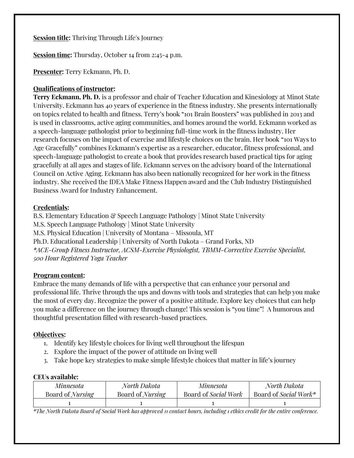**Session title:** Thriving Through Life's Journey

**Session time:** Thursday, October 14 from 2:45-4 p.m.

**Presenter:** Terry Eckmann, Ph. D.

# **Qualifications of instructor:**

**Terry Eckmann, Ph. D.** is a professor and chair of Teacher Education and Kinesiology at Minot State University. Eckmann has 40 years of experience in the fitness industry. She presents internationally on topics related to health and fitness. Terry's book "101 Brain Boosters" was published in 2013 and is used in classrooms, active aging communities, and homes around the world. Eckmann worked as a speech-language pathologist prior to beginning full-time work in the fitness industry. Her research focuses on the impact of exercise and lifestyle choices on the brain. Her book "101 Ways to Age Gracefully" combines Eckmann's expertise as a researcher, educator, fitness professional, and speech-language pathologist to create a book that provides research based practical tips for aging gracefully at all ages and stages of life. Eckmann serves on the advisory board of the International Council on Active Aging. Eckmann has also been nationally recognized for her work in the fitness industry. She received the IDEA Make Fitness Happen award and the Club Industry Distinguished Business Award for Industry Enhancement.

## **Credentials:**

B.S. Elementary Education & Speech Language Pathology | Minot State University M.S. Speech Language Pathology | Minot State University M.S. Physical Education | University of Montana – Missoula, MT Ph.D. Educational Leadership | University of North Dakota – Grand Forks, ND *\*ACE-Group Fitness Instructor, ACSM-Exercise Physiologist, TBMM-Corrective Exercise Specialist, 500 Hour Registered Yoga Teacher*

#### **Program content:**

Embrace the many demands of life with a perspective that can enhance your personal and professional life. Thrive through the ups and downs with tools and strategies that can help you make the most of every day. Recognize the power of a positive attitude. Explore key choices that can help you make a difference on the journey through change! This session is "you time"! A humorous and thoughtful presentation filled with research-based practices.

#### **Objectives:**

- 1. Identify key lifestyle choices for living well throughout the lifespan
- 2. Explore the impact of the power of attitude on living well
- 3. Take hope key strategies to make simple lifestyle choices that matter in life's journey

#### **CEUs available:**

| Minnesota               | North Dakota            | Minnesota            | North Dakota          |
|-------------------------|-------------------------|----------------------|-----------------------|
| Board of <i>Nursing</i> | Board of <i>Nursing</i> | Board of Social Work | Board of Social Work* |
|                         |                         |                      |                       |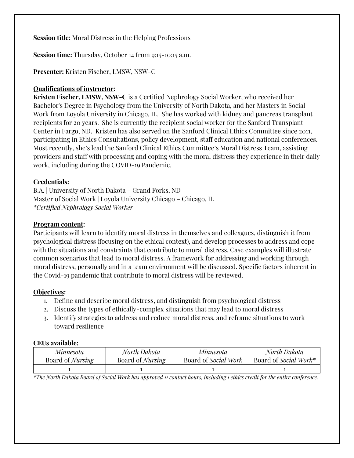**Session title:** Moral Distress in the Helping Professions

**Session time:** Thursday, October 14 from 9:15-10:15 a.m.

**Presenter:** Kristen Fischer, LMSW, NSW-C

# **Qualifications of instructor:**

**Kristen Fischer, LMSW, NSW-C** is a Certified Nephrology Social Worker, who received her Bachelor's Degree in Psychology from the University of North Dakota, and her Masters in Social Work from Loyola University in Chicago, IL. She has worked with kidney and pancreas transplant recipients for 20 years. She is currently the recipient social worker for the Sanford Transplant Center in Fargo, ND. Kristen has also served on the Sanford Clinical Ethics Committee since 2011, participating in Ethics Consultations, policy development, staff education and national conferences. Most recently, she's lead the Sanford Clinical Ethics Committee's Moral Distress Team, assisting providers and staff with processing and coping with the moral distress they experience in their daily work, including during the COVID-19 Pandemic.

# **Credentials:**

B.A. | University of North Dakota – Grand Forks, ND Master of Social Work | Loyola University Chicago – Chicago, IL *\*Certified Nephrology Social Worker* 

#### **Program content:**

Participants will learn to identify moral distress in themselves and colleagues, distinguish it from psychological distress (focusing on the ethical context), and develop processes to address and cope with the situations and constraints that contribute to moral distress. Case examples will illustrate common scenarios that lead to moral distress. A framework for addressing and working through moral distress, personally and in a team environment will be discussed. Specific factors inherent in the Covid-19 pandemic that contribute to moral distress will be reviewed.

# **Objectives:**

- 1. Define and describe moral distress, and distinguish from psychological distress
- 2. Discuss the types of ethically-complex situations that may lead to moral distress
- 3. Identify strategies to address and reduce moral distress, and reframe situations to work toward resilience

#### **CEUs available:**

| Minnesota               | North Dakota            | Minnesota            | North Dakota          |
|-------------------------|-------------------------|----------------------|-----------------------|
| Board of <i>Nursing</i> | Board of <i>Nursing</i> | Board of Social Work | Board of Social Work* |
|                         |                         |                      |                       |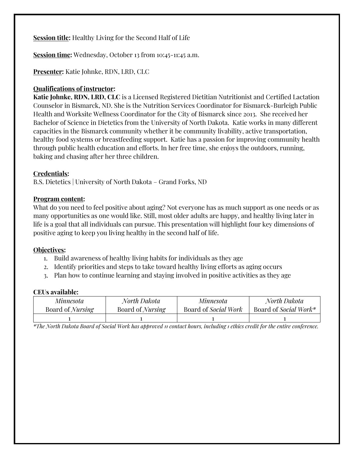**Session title:** Healthy Living for the Second Half of Life

**Session time:** Wednesday, October 13 from 10:45-11:45 a.m.

**Presenter:** Katie Johnke, RDN, LRD, CLC

## **Qualifications of instructor:**

**Katie Johnke, RDN, LRD, CLC** is a Licensed Registered Dietitian Nutritionist and Certified Lactation Counselor in Bismarck, ND. She is the Nutrition Services Coordinator for Bismarck-Burleigh Public Health and Worksite Wellness Coordinator for the City of Bismarck since 2013. She received her Bachelor of Science in Dietetics from the University of North Dakota. Katie works in many different capacities in the Bismarck community whether it be community livability, active transportation, healthy food systems or breastfeeding support. Katie has a passion for improving community health through public health education and efforts. In her free time, she enjoys the outdoors, running, baking and chasing after her three children.

## **Credentials:**

B.S. Dietetics | University of North Dakota – Grand Forks, ND

## **Program content:**

What do you need to feel positive about aging? Not everyone has as much support as one needs or as many opportunities as one would like. Still, most older adults are happy, and healthy living later in life is a goal that all individuals can pursue. This presentation will highlight four key dimensions of positive aging to keep you living healthy in the second half of life.

#### **Objectives:**

- 1. Build awareness of healthy living habits for individuals as they age
- 2. Identify priorities and steps to take toward healthy living efforts as aging occurs
- 3. Plan how to continue learning and staying involved in positive activities as they age

#### **CEUs available:**

| Minnesota               | North Dakota            | Minnesota                   | North Dakota          |
|-------------------------|-------------------------|-----------------------------|-----------------------|
| Board of <i>Nursing</i> | Board of <i>Nursing</i> | Board of <i>Social Work</i> | Board of Social Work* |
|                         |                         |                             |                       |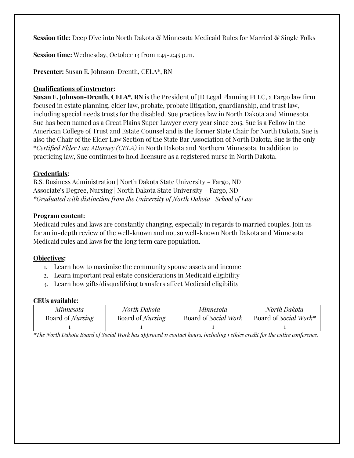Session title: Deep Dive into North Dakota & Minnesota Medicaid Rules for Married & Single Folks

**Session time:** Wednesday, October 13 from 1:45-2:45 p.m.

**Presenter:** Susan E. Johnson-Drenth, CELA\*, RN

## **Qualifications of instructor:**

**Susan E. Johnson-Drenth, CELA\*, RN** is the President of JD Legal Planning PLLC, a Fargo law firm focused in estate planning, elder law, probate, probate litigation, guardianship, and trust law, including special needs trusts for the disabled. Sue practices law in North Dakota and Minnesota. Sue has been named as a Great Plains Super Lawyer every year since 2015. Sue is a Fellow in the American College of Trust and Estate Counsel and is the former State Chair for North Dakota. Sue is also the Chair of the Elder Law Section of the State Bar Association of North Dakota. Sue is the only \**Certified Elder Law Attorney (CELA)* in North Dakota and Northern Minnesota. In addition to practicing law, Sue continues to hold licensure as a registered nurse in North Dakota.

## **Credentials:**

B.S. Business Administration | North Dakota State University – Fargo, ND Associate's Degree, Nursing | North Dakota State University – Fargo, ND *\*Graduated with distinction from the University of North Dakota | School of Law*

## **Program content:**

Medicaid rules and laws are constantly changing, especially in regards to married couples. Join us for an in-depth review of the well-known and not so well-known North Dakota and Minnesota Medicaid rules and laws for the long term care population.

# **Objectives:**

- 1. Learn how to maximize the community spouse assets and income
- 2. Learn important real estate considerations in Medicaid eligibility
- 3. Learn how gifts/disqualifying transfers affect Medicaid eligibility

#### **CEUs available:**

| Minnesota               | North Dakota            | Minnesota                   | North Dakota          |
|-------------------------|-------------------------|-----------------------------|-----------------------|
| Board of <i>Nursing</i> | Board of <i>Nursing</i> | Board of <i>Social Work</i> | Board of Social Work* |
|                         |                         |                             |                       |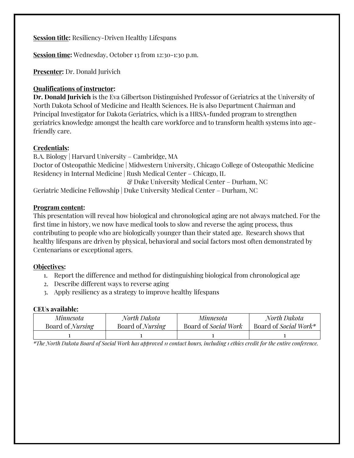**Session title:** Resiliency-Driven Healthy Lifespans

**Session time:** Wednesday, October 13 from 12:30-1:30 p.m.

**Presenter:** Dr. Donald Jurivich

# **Qualifications of instructor:**

**Dr. Donald Jurivich** is the Eva Gilbertson Distinguished Professor of Geriatrics at the University of North Dakota School of Medicine and Health Sciences. He is also Department Chairman and Principal Investigator for Dakota Geriatrics, which is a HRSA-funded program to strengthen geriatrics knowledge amongst the health care workforce and to transform health systems into agefriendly care.

## **Credentials:**

B.A. Biology | Harvard University – Cambridge, MA Doctor of Osteopathic Medicine | Midwestern University, Chicago College of Osteopathic Medicine Residency in Internal Medicine | Rush Medical Center – Chicago, IL & Duke University Medical Center – Durham, NC Geriatric Medicine Fellowship | Duke University Medical Center – Durham, NC

#### **Program content:**

This presentation will reveal how biological and chronological aging are not always matched. For the first time in history, we now have medical tools to slow and reverse the aging process, thus contributing to people who are biologically younger than their stated age. Research shows that healthy lifespans are driven by physical, behavioral and social factors most often demonstrated by Centenarians or exceptional agers.

#### **Objectives:**

- 1. Report the difference and method for distinguishing biological from chronological age
- 2. Describe different ways to reverse aging
- 3. Apply resiliency as a strategy to improve healthy lifespans

### **CEUs available:**

| Minnesota               | North Dakota            | Minnesota                   | North Dakota          |
|-------------------------|-------------------------|-----------------------------|-----------------------|
| Board of <i>Nursing</i> | Board of <i>Nursing</i> | Board of <i>Social Work</i> | Board of Social Work* |
|                         |                         |                             |                       |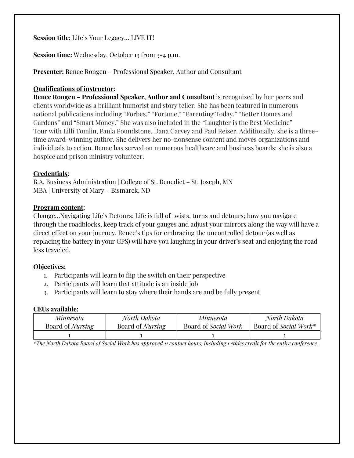**Session title:** Life's Your Legacy… LIVE IT!

**Session time:** Wednesday, October 13 from 3-4 p.m.

**Presenter:** Renee Rongen – Professional Speaker, Author and Consultant

## **Qualifications of instructor:**

**Renee Rongen – Professional Speaker, Author and Consultant** is recognized by her peers and clients worldwide as a brilliant humorist and story teller. She has been featured in numerous national publications including "Forbes," "Fortune," "Parenting Today," "Better Homes and Gardens" and "Smart Money." She was also included in the "Laughter is the Best Medicine" Tour with Lilli Tomlin, Paula Poundstone, Dana Carvey and Paul Reiser. Additionally, she is a threetime award-winning author. She delivers her no-nonsense content and moves organizations and individuals to action. Renee has served on numerous healthcare and business boards; she is also a hospice and prison ministry volunteer.

## **Credentials:**

B.A. Business Administration | College of St. Benedict – St. Joseph, MN MBA | University of Mary – Bismarck, ND

## **Program content:**

Change…Navigating Life's Detours: Life is full of twists, turns and detours; how you navigate through the roadblocks, keep track of your gauges and adjust your mirrors along the way will have a direct effect on your journey. Renee's tips for embracing the uncontrolled detour (as well as replacing the battery in your GPS) will have you laughing in your driver's seat and enjoying the road less traveled.

# **Objectives:**

- 1. Participants will learn to flip the switch on their perspective
- 2. Participants will learn that attitude is an inside job
- 3. Participants will learn to stay where their hands are and be fully present

#### **CEUs available:**

| Minnesota               | North Dakota            | Minnesota                   | North Dakota          |
|-------------------------|-------------------------|-----------------------------|-----------------------|
| Board of <i>Nursing</i> | Board of <i>Nursing</i> | Board of <i>Social Work</i> | Board of Social Work* |
|                         |                         |                             |                       |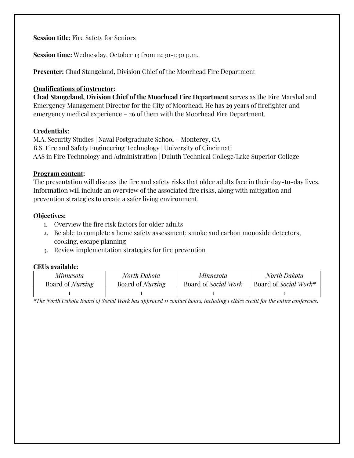**Session title:** Fire Safety for Seniors

**Session time:** Wednesday, October 13 from 12:30-1:30 p.m.

**Presenter:** Chad Stangeland, Division Chief of the Moorhead Fire Department

### **Qualifications of instructor:**

**Chad Stangeland, Division Chief of the Moorhead Fire Department** serves as the Fire Marshal and Emergency Management Director for the City of Moorhead. He has 29 years of firefighter and emergency medical experience – 26 of them with the Moorhead Fire Department.

## **Credentials:**

M.A. Security Studies | Naval Postgraduate School – Monterey, CA B.S. Fire and Safety Engineering Technology | University of Cincinnati AAS in Fire Technology and Administration | Duluth Technical College/Lake Superior College

## **Program content:**

The presentation will discuss the fire and safety risks that older adults face in their day-to-day lives. Information will include an overview of the associated fire risks, along with mitigation and prevention strategies to create a safer living environment.

# **Objectives:**

- 1. Overview the fire risk factors for older adults
- 2. Be able to complete a home safety assessment: smoke and carbon monoxide detectors, cooking, escape planning
- 3. Review implementation strategies for fire prevention

# **CEUs available:**

| Minnesota               | North Dakota            | Minnesota            | North Dakota          |
|-------------------------|-------------------------|----------------------|-----------------------|
| Board of <i>Nursing</i> | Board of <i>Nursing</i> | Board of Social Work | Board of Social Work* |
|                         |                         |                      |                       |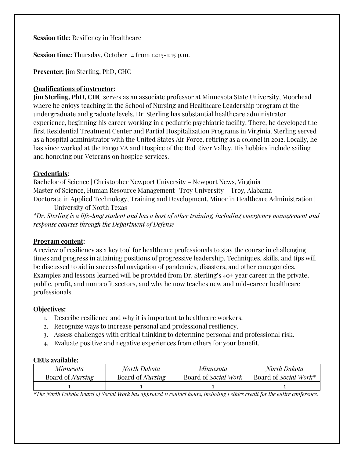**Session title:** Resiliency in Healthcare

**Session time:** Thursday, October 14 from 12:15-1:15 p.m.

**Presenter:** Jim Sterling, PhD, CHC

# **Qualifications of instructor:**

**Jim Sterling, PhD, CHC** serves as an associate professor at Minnesota State University, Moorhead where he enjoys teaching in the School of Nursing and Healthcare Leadership program at the undergraduate and graduate levels. Dr. Sterling has substantial healthcare administrator experience, beginning his career working in a pediatric psychiatric facility. There, he developed the first Residential Treatment Center and Partial Hospitalization Programs in Virginia. Sterling served as a hospital administrator with the United States Air Force, retiring as a colonel in 2012. Locally, he has since worked at the Fargo VA and Hospice of the Red River Valley. His hobbies include sailing and honoring our Veterans on hospice services.

## **Credentials:**

Bachelor of Science | Christopher Newport University – Newport News, Virginia Master of Science, Human Resource Management | Troy University – Troy, Alabama Doctorate in Applied Technology, Training and Development, Minor in Healthcare Administration |

University of North Texas *\*Dr. Sterling is a life-long student and has a host of other training, including emergency management and response courses through the Department of Defense*

#### **Program content:**

A review of resiliency as a key tool for healthcare professionals to stay the course in challenging times and progress in attaining positions of progressive leadership. Techniques, skills, and tips will be discussed to aid in successful navigation of pandemics, disasters, and other emergencies. Examples and lessons learned will be provided from Dr. Sterling's 40+ year career in the private, public, profit, and nonprofit sectors, and why he now teaches new and mid-career healthcare professionals.

# **Objectives:**

- 1. Describe resilience and why it is important to healthcare workers.
- 2. Recognize ways to increase personal and professional resiliency.
- 3. Assess challenges with critical thinking to determine personal and professional risk.
- 4. Evaluate positive and negative experiences from others for your benefit.

# **CEUs available:**

| Minnesota               | North Dakota            | Minnesota                   | North Dakota          |
|-------------------------|-------------------------|-----------------------------|-----------------------|
| Board of <i>Nursing</i> | Board of <i>Nursing</i> | Board of <i>Social Work</i> | Board of Social Work* |
|                         |                         |                             |                       |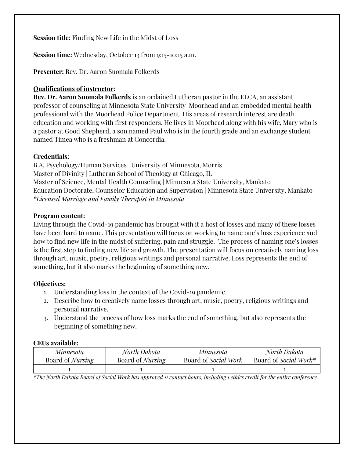**Session title:** Finding New Life in the Midst of Loss

**Session time:** Wednesday, October 13 from 9:15-10:15 a.m.

**Presenter:** Rev. Dr. Aaron Suomala Folkerds

# **Qualifications of instructor:**

**Rev. Dr. Aaron Suomala Folkerds** is an ordained Lutheran pastor in the ELCA, an assistant professor of counseling at Minnesota State University-Moorhead and an embedded mental health professional with the Moorhead Police Department. His areas of research interest are death education and working with first responders. He lives in Moorhead along with his wife, Mary who is a pastor at Good Shepherd, a son named Paul who is in the fourth grade and an exchange student named Timea who is a freshman at Concordia.

# **Credentials:**

B.A. Psychology/Human Services | University of Minnesota, Morris Master of Divinity | Lutheran School of Theology at Chicago, IL Master of Science, Mental Health Counseling | Minnesota State University, Mankato Education Doctorate, Counselor Education and Supervision | Minnesota State University, Mankato *\*Licensed Marriage and Family Therapist in Minnesota*

# **Program content:**

Living through the Covid-19 pandemic has brought with it a host of losses and many of these losses have been hard to name. This presentation will focus on working to name one's loss experience and how to find new life in the midst of suffering, pain and struggle. The process of naming one's losses is the first step to finding new life and growth. The presentation will focus on creatively naming loss through art, music, poetry, religious writings and personal narrative. Loss represents the end of something, but it also marks the beginning of something new.

# **Objectives:**

- 1. Understanding loss in the context of the Covid-19 pandemic.
- 2. Describe how to creatively name losses through art, music, poetry, religious writings and personal narrative.
- 3. Understand the process of how loss marks the end of something, but also represents the beginning of something new.

#### **CEUs available:**

| Minnesota               | North Dakota            | Minnesota            | North Dakota          |
|-------------------------|-------------------------|----------------------|-----------------------|
| Board of <i>Nursing</i> | Board of <i>Nursing</i> | Board of Social Work | Board of Social Work* |
|                         |                         |                      |                       |